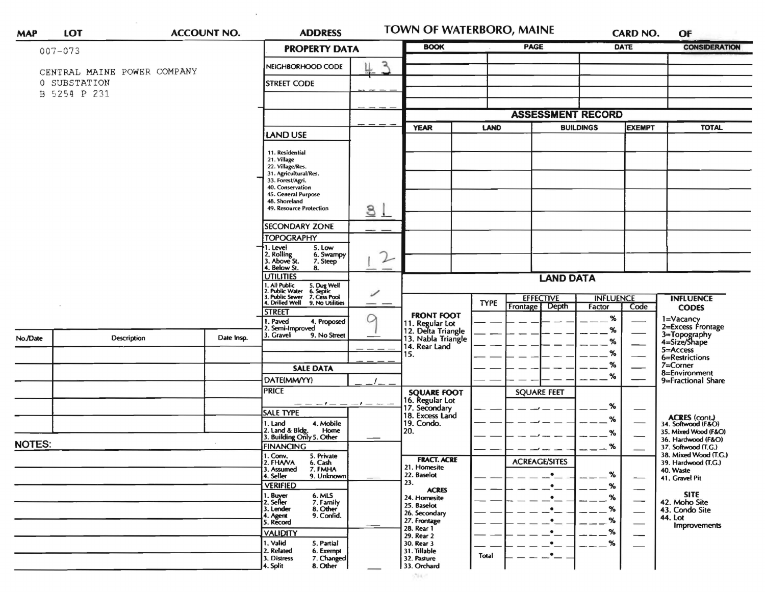| <b>MAP</b>    | <b>LOT</b>                                  |                  | <b>ADDRESS</b><br><b>ACCOUNT NO.</b> |                                                                                                                                                                                        |                  |                                      | TOWN OF WATERBORO, MAINE                                    |             |                      |                                           | <b>CARD NO.</b>               | OF                                                             |
|---------------|---------------------------------------------|------------------|--------------------------------------|----------------------------------------------------------------------------------------------------------------------------------------------------------------------------------------|------------------|--------------------------------------|-------------------------------------------------------------|-------------|----------------------|-------------------------------------------|-------------------------------|----------------------------------------------------------------|
|               | $007 - 073$                                 |                  |                                      | <b>PROPERTY DATA</b>                                                                                                                                                                   |                  | <b>BOOK</b>                          |                                                             | <b>PAGE</b> |                      | DATE                                      | <b>CONSIDERATION</b>          |                                                                |
|               | CENTRAL MAINE POWER COMPANY<br>0 SUBSTATION |                  |                                      | NEIGHBORHOOD CODE<br><b>STREET CODE</b>                                                                                                                                                |                  | ٦                                    |                                                             |             |                      |                                           |                               |                                                                |
| B 5254 P 231  |                                             |                  |                                      |                                                                                                                                                                                        |                  |                                      |                                                             |             |                      |                                           |                               |                                                                |
|               |                                             |                  |                                      |                                                                                                                                                                                        |                  | <b>ASSESSMENT RECORD</b>             |                                                             |             |                      |                                           |                               |                                                                |
|               |                                             |                  |                                      | LAND USE                                                                                                                                                                               |                  | <b>YEAR</b>                          | <b>BUILDINGS</b><br>LAND                                    |             | <b>EXEMPT</b>        |                                           | <b>TOTAL</b>                  |                                                                |
|               |                                             |                  |                                      | 11. Residential<br>21. Village<br>22. Village/Res.<br>31. Agricultural/Res.<br>33. Forest/Agri.<br>40. Conservation<br>45. General Purpose<br>48. Shoreland<br>49. Resource Protection |                  | 3 <sub>1</sub>                       |                                                             |             |                      |                                           |                               |                                                                |
|               |                                             |                  |                                      | <b>SECONDARY ZONE</b>                                                                                                                                                                  |                  |                                      |                                                             |             |                      |                                           |                               |                                                                |
|               |                                             |                  |                                      | <b>TOPOGRAPHY</b>                                                                                                                                                                      |                  |                                      |                                                             |             |                      |                                           |                               |                                                                |
|               |                                             |                  |                                      | . Level<br>5. Low<br>2. Rolling<br>3. Above St.<br>6. Swampy<br>7. Steep<br>4. Below St.<br>8.                                                                                         |                  | ⇂                                    |                                                             |             |                      |                                           |                               |                                                                |
|               |                                             |                  | <b>UTILITIES</b><br>. All Public     |                                                                                                                                                                                        | <b>LAND DATA</b> |                                      |                                                             |             |                      |                                           |                               |                                                                |
|               |                                             |                  |                                      | 5. Dug Well<br>6. Septic<br>7. Cess Pool<br>2. Public Water<br>3. Public Sewer<br>4. Drilled Well                                                                                      |                  | <b>EFFECTIVE</b><br><b>INFLUENCE</b> |                                                             |             |                      |                                           | <b>INFLUENCE</b>              |                                                                |
|               |                                             |                  |                                      | 9. No Utilities<br><b>STREET</b>                                                                                                                                                       |                  |                                      | <b>FRONT FOOT</b>                                           | <b>TYPE</b> | Frontage<br>Depth    | Factor                                    | Code                          | <b>CODES</b>                                                   |
| No./Date      |                                             | Description      | Date Insp.                           | I. Paved<br>4. Proposed<br>2. Semi-Improved<br>3. Gravel<br>9. No Street                                                                                                               | O                |                                      | 11. Regular Lot<br>12. Delta Triangle<br>13. Nabla Triangle |             |                      | %<br>%<br>%                               |                               | 1=Vacancy<br>2=Excess Frontage<br>3=Topography<br>4=Size/Shape |
|               |                                             |                  |                                      |                                                                                                                                                                                        |                  |                                      | 14. Rear Land<br>15.                                        |             |                      | %                                         |                               | 5=Access                                                       |
|               |                                             |                  |                                      | <b>SALE DATA</b>                                                                                                                                                                       |                  |                                      |                                                             |             |                      | %                                         |                               | 6=Restrictions<br>$7 =$ Corner                                 |
|               |                                             |                  |                                      | DATE(MM/YY)                                                                                                                                                                            |                  |                                      |                                                             |             |                      | %                                         |                               | 8=Environment<br>9=Fractional Share                            |
|               |                                             |                  |                                      | <b>PRICE</b>                                                                                                                                                                           |                  |                                      | <b>SQUARE FOOT</b>                                          |             | <b>SQUARE FEET</b>   |                                           |                               |                                                                |
|               |                                             |                  |                                      |                                                                                                                                                                                        | $-1 - -$         |                                      | 16. Regular Lot<br>17. Secondary                            |             |                      | %                                         |                               |                                                                |
|               |                                             |                  |                                      | <b>SALE TYPE</b><br>4. Mobile<br>1. Land                                                                                                                                               |                  |                                      | 18. Excess Land<br>19. Condo.                               |             |                      | ℅                                         |                               | <b>ACRES</b> (cont.)<br>34. Softwood (F&O)                     |
|               |                                             |                  |                                      | 2. Land & Bldg. Home<br>3. Building Only 5. Other<br>Home                                                                                                                              |                  |                                      | 20.                                                         |             |                      | %                                         |                               | 35. Mixed Wood (F&O)                                           |
| <b>NOTES:</b> |                                             | <b>FINANCING</b> |                                      |                                                                                                                                                                                        |                  |                                      |                                                             | %           |                      | 36. Hardwood (F&O)<br>37. Softwood (T.G.) |                               |                                                                |
|               |                                             |                  |                                      | 1. Conv.<br>5. Private<br>2. FHAVA<br>6. Cash<br>3. Assumed<br>7. FMHA<br>4. Seller<br>9. Unknown                                                                                      |                  |                                      | <b>FRACT. ACRE</b><br>21. Homesite<br>22. Baselot           |             | <b>ACREAGE/SITES</b> | %                                         |                               | 38. Mixed Wood (T.G.)<br>39. Hardwood (T.G.)<br>40. Waste      |
|               |                                             |                  |                                      | <b>VERIFIED</b>                                                                                                                                                                        |                  |                                      | 23.<br><b>ACRES</b>                                         |             |                      | %                                         | $\overbrace{\hspace{15em}}$   | 41. Gravel Pit                                                 |
|               |                                             |                  |                                      | 1. Buyer<br>6. MLS<br>2. Seller<br>7. Family<br>8. Other<br>3. Lender<br>9. Confid.                                                                                                    |                  |                                      | 24. Homesite<br>25. Baselot<br>26. Secondary                |             |                      | %<br>%                                    | —<br>$\overline{\phantom{0}}$ | <b>SITE</b><br>42. Moho Site<br>43. Condo Site                 |
|               |                                             |                  |                                      | 4. Agent<br>5. Record                                                                                                                                                                  |                  |                                      | 27. Frontage<br>28. Rear 1                                  |             | $\bullet$            | %                                         | $\overbrace{\phantom{aaaaa}}$ | 44. Lot<br><b>Improvements</b>                                 |
|               |                                             |                  |                                      | <b>VALIDITY</b><br>1. Valid<br>5. Partial                                                                                                                                              |                  |                                      | 29. Rear 2<br>30. Rear 3                                    |             | ٠<br>$\bullet$       | %<br>%                                    | —                             |                                                                |
|               |                                             |                  |                                      | 2. Related<br>6. Exempt<br>7. Changed<br>3. Distress<br>8. Other<br>4. Split                                                                                                           |                  |                                      | 31. Tillable<br>32. Pasture<br>33. Orchard                  | Total       | .•—                  |                                           |                               |                                                                |

 $\sim 10^{11}$